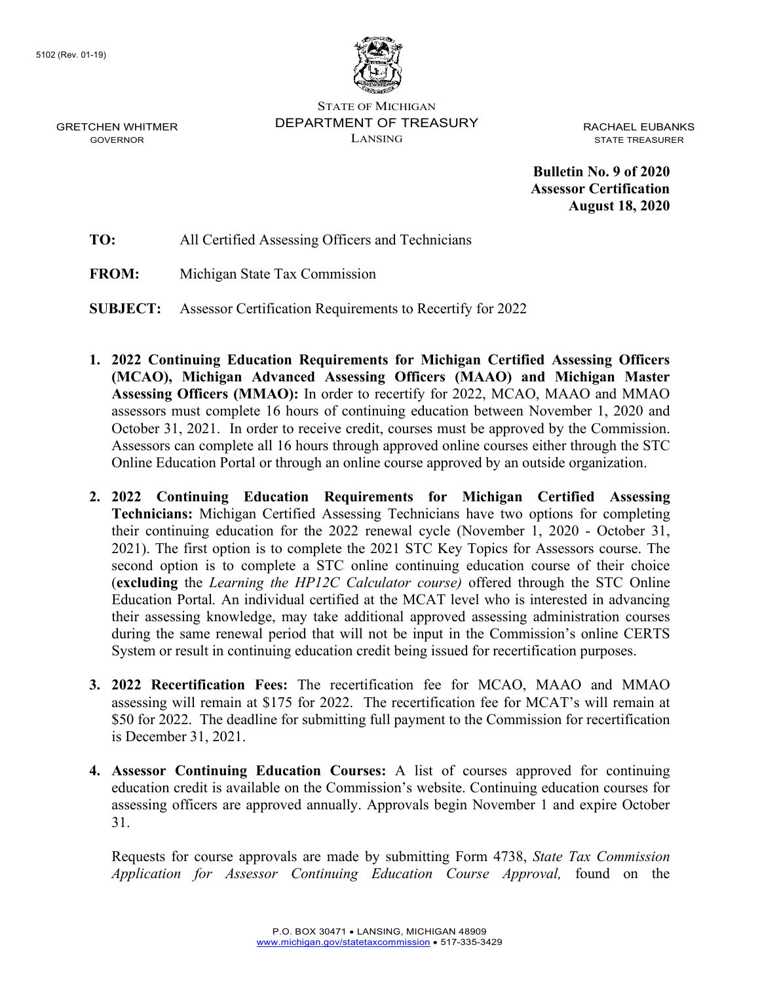GRETCHEN WHITMER GOVERNOR



STATE OF MICHIGAN DEPARTMENT OF TREASURY LANSING

RACHAEL EUBANKS STATE TREASURER

**Bulletin No. 9 of 2020 Assessor Certification August 18, 2020**

**TO:** All Certified Assessing Officers and Technicians

**FROM:** Michigan State Tax Commission

**SUBJECT:** Assessor Certification Requirements to Recertify for 2022

- **1. 2022 Continuing Education Requirements for Michigan Certified Assessing Officers (MCAO), Michigan Advanced Assessing Officers (MAAO) and Michigan Master Assessing Officers (MMAO):** In order to recertify for 2022, MCAO, MAAO and MMAO assessors must complete 16 hours of continuing education between November 1, 2020 and October 31, 2021. In order to receive credit, courses must be approved by the Commission. Assessors can complete all 16 hours through approved online courses either through the STC Online Education Portal or through an online course approved by an outside organization.
- **2. 2022 Continuing Education Requirements for Michigan Certified Assessing Technicians:** Michigan Certified Assessing Technicians have two options for completing their continuing education for the 2022 renewal cycle (November 1, 2020 - October 31, 2021). The first option is to complete the 2021 STC Key Topics for Assessors course. The second option is to complete a STC online continuing education course of their choice (**excluding** the *Learning the HP12C Calculator course)* offered through the STC Online Education Portal*.* An individual certified at the MCAT level who is interested in advancing their assessing knowledge, may take additional approved assessing administration courses during the same renewal period that will not be input in the Commission's online CERTS System or result in continuing education credit being issued for recertification purposes.
- **3. 2022 Recertification Fees:** The recertification fee for MCAO, MAAO and MMAO assessing will remain at \$175 for 2022. The recertification fee for MCAT's will remain at \$50 for 2022. The deadline for submitting full payment to the Commission for recertification is December 31, 2021.
- **4. Assessor Continuing Education Courses:** A list of courses approved for continuing education credit is available on the Commission's website. Continuing education courses for assessing officers are approved annually. Approvals begin November 1 and expire October 31.

Requests for course approvals are made by submitting Form 4738, *State Tax Commission Application for Assessor Continuing Education Course Approval,* found on the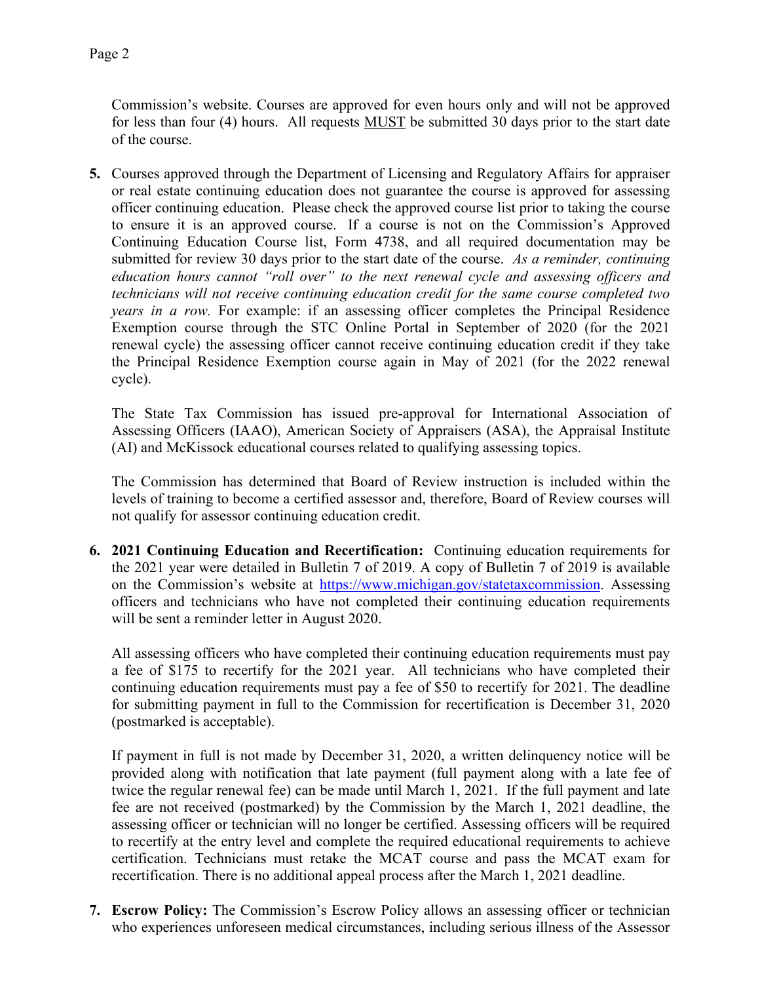Commission's website. Courses are approved for even hours only and will not be approved for less than four (4) hours. All requests MUST be submitted 30 days prior to the start date of the course.

**5.** Courses approved through the Department of Licensing and Regulatory Affairs for appraiser or real estate continuing education does not guarantee the course is approved for assessing officer continuing education. Please check the approved course list prior to taking the course to ensure it is an approved course. If a course is not on the Commission's Approved Continuing Education Course list, Form 4738, and all required documentation may be submitted for review 30 days prior to the start date of the course. *As a reminder, continuing education hours cannot "roll over" to the next renewal cycle and assessing officers and technicians will not receive continuing education credit for the same course completed two years in a row.* For example: if an assessing officer completes the Principal Residence Exemption course through the STC Online Portal in September of 2020 (for the 2021 renewal cycle) the assessing officer cannot receive continuing education credit if they take the Principal Residence Exemption course again in May of 2021 (for the 2022 renewal cycle).

The State Tax Commission has issued pre-approval for International Association of Assessing Officers (IAAO), American Society of Appraisers (ASA), the Appraisal Institute (AI) and McKissock educational courses related to qualifying assessing topics.

The Commission has determined that Board of Review instruction is included within the levels of training to become a certified assessor and, therefore, Board of Review courses will not qualify for assessor continuing education credit.

**6. 2021 Continuing Education and Recertification:** Continuing education requirements for the 2021 year were detailed in Bulletin 7 of 2019. A copy of Bulletin 7 of 2019 is available on the Commission's website at [https://www.michigan.gov/statetaxcommission.](https://www.michigan.gov/statetaxcommission) Assessing officers and technicians who have not completed their continuing education requirements will be sent a reminder letter in August 2020.

All assessing officers who have completed their continuing education requirements must pay a fee of \$175 to recertify for the 2021 year. All technicians who have completed their continuing education requirements must pay a fee of \$50 to recertify for 2021. The deadline for submitting payment in full to the Commission for recertification is December 31, 2020 (postmarked is acceptable).

If payment in full is not made by December 31, 2020, a written delinquency notice will be provided along with notification that late payment (full payment along with a late fee of twice the regular renewal fee) can be made until March 1, 2021. If the full payment and late fee are not received (postmarked) by the Commission by the March 1, 2021 deadline, the assessing officer or technician will no longer be certified. Assessing officers will be required to recertify at the entry level and complete the required educational requirements to achieve certification. Technicians must retake the MCAT course and pass the MCAT exam for recertification. There is no additional appeal process after the March 1, 2021 deadline.

**7. Escrow Policy:** The Commission's Escrow Policy allows an assessing officer or technician who experiences unforeseen medical circumstances, including serious illness of the Assessor